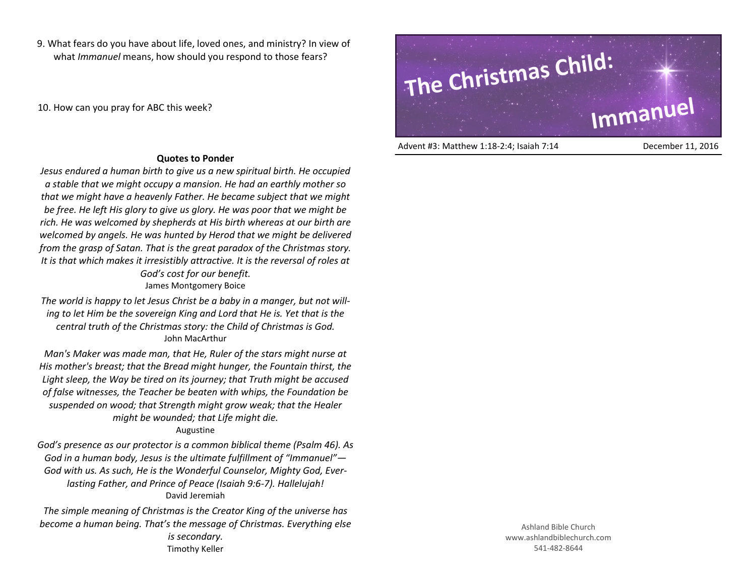9. What fears do you have about life, loved ones, and ministry? In view of what *Immanuel* means, how should you respond to those fears?

10. How can you pray for ABC this week?

## **Quotes to Ponder**

*Jesus endured a human birth to give us a new spiritual birth. He occupied a stable that we might occupy a mansion. He had an earthly mother so that we might have a heavenly Father. He became subject that we might be free. He left His glory to give us glory. He was poor that we might be rich. He was welcomed by shepherds at His birth whereas at our birth are welcomed by angels. He was hunted by Herod that we might be delivered from the grasp of Satan. That is the great paradox of the Christmas story. It is that which makes it irresistibly attractive. It is the reversal of roles at God's cost for our benefit.* James Montgomery Boice

*The world is happy to let Jesus Christ be a baby in a manger, but not willing to let Him be the sovereign King and Lord that He is. Yet that is the central truth of the Christmas story: the Child of Christmas is God.* John MacArthur

*Man's Maker was made man, that He, Ruler of the stars might nurse at His mother's breast; that the Bread might hunger, the Fountain thirst, the Light sleep, the Way be tired on its journey; that Truth might be accused of false witnesses, the Teacher be beaten with whips, the Foundation be suspended on wood; that Strength might grow weak; that the Healer might be wounded; that Life might die.*

## Augustine

*God's presence as our protector is a common biblical theme (Psalm 46). As God in a human body, Jesus is the ultimate fulfillment of "Immanuel"— God with us. As such, He is the Wonderful Counselor, Mighty God, Everlasting Father, and Prince of Peace (Isaiah 9:6-7). Hallelujah!* David Jeremiah

*The simple meaning of Christmas is the Creator King of the universe has become a human being. That's the message of Christmas. Everything else is secondary.* Timothy Keller



Advent #3: Matthew 1:18-2:4; Isaiah 7:14 December 11, 2016

Ashland Bible Church www.ashlandbiblechurch.com 541-482-8644